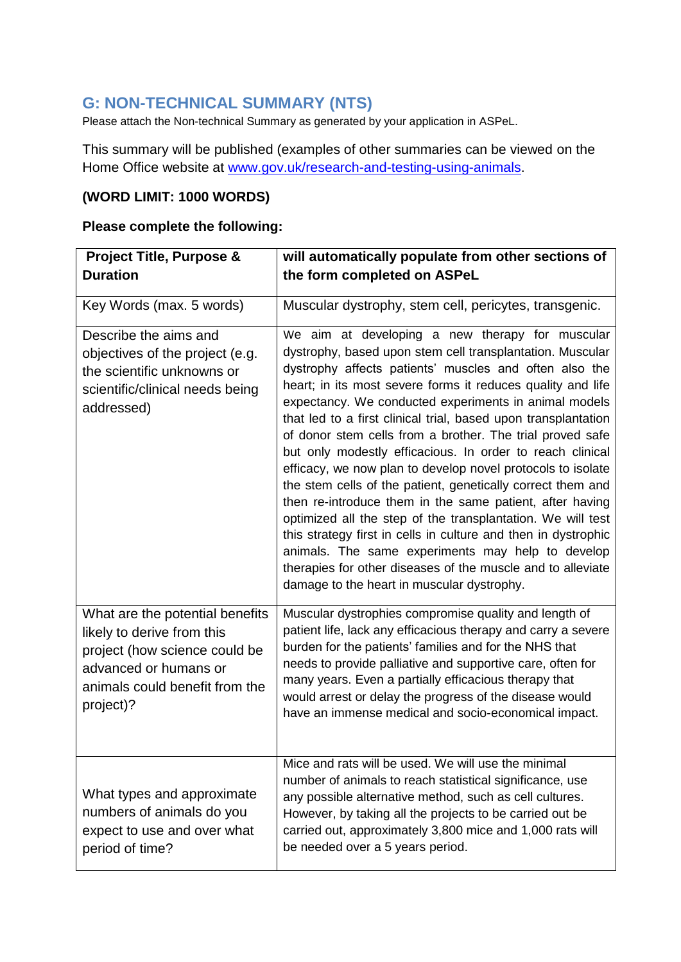## **G: NON-TECHNICAL SUMMARY (NTS)**

Please attach the Non-technical Summary as generated by your application in ASPeL.

This summary will be published (examples of other summaries can be viewed on the Home Office website at [www.gov.uk/research-and-testing-using-animals.](http://www.gov.uk/research-and-testing-using-animals)

## **(WORD LIMIT: 1000 WORDS)**

## **Please complete the following:**

| <b>Project Title, Purpose &amp;</b>                                                                                                                                    | will automatically populate from other sections of                                                                                                                                                                                                                                                                                                                                                                                                                                                                                                                                                                                                                                                                                                                                                                                                                                                                                                                                      |
|------------------------------------------------------------------------------------------------------------------------------------------------------------------------|-----------------------------------------------------------------------------------------------------------------------------------------------------------------------------------------------------------------------------------------------------------------------------------------------------------------------------------------------------------------------------------------------------------------------------------------------------------------------------------------------------------------------------------------------------------------------------------------------------------------------------------------------------------------------------------------------------------------------------------------------------------------------------------------------------------------------------------------------------------------------------------------------------------------------------------------------------------------------------------------|
| <b>Duration</b>                                                                                                                                                        | the form completed on ASPeL                                                                                                                                                                                                                                                                                                                                                                                                                                                                                                                                                                                                                                                                                                                                                                                                                                                                                                                                                             |
| Key Words (max. 5 words)                                                                                                                                               | Muscular dystrophy, stem cell, pericytes, transgenic.                                                                                                                                                                                                                                                                                                                                                                                                                                                                                                                                                                                                                                                                                                                                                                                                                                                                                                                                   |
| Describe the aims and<br>objectives of the project (e.g.<br>the scientific unknowns or<br>scientific/clinical needs being<br>addressed)                                | We aim at developing a new therapy for muscular<br>dystrophy, based upon stem cell transplantation. Muscular<br>dystrophy affects patients' muscles and often also the<br>heart; in its most severe forms it reduces quality and life<br>expectancy. We conducted experiments in animal models<br>that led to a first clinical trial, based upon transplantation<br>of donor stem cells from a brother. The trial proved safe<br>but only modestly efficacious. In order to reach clinical<br>efficacy, we now plan to develop novel protocols to isolate<br>the stem cells of the patient, genetically correct them and<br>then re-introduce them in the same patient, after having<br>optimized all the step of the transplantation. We will test<br>this strategy first in cells in culture and then in dystrophic<br>animals. The same experiments may help to develop<br>therapies for other diseases of the muscle and to alleviate<br>damage to the heart in muscular dystrophy. |
| What are the potential benefits<br>likely to derive from this<br>project (how science could be<br>advanced or humans or<br>animals could benefit from the<br>project)? | Muscular dystrophies compromise quality and length of<br>patient life, lack any efficacious therapy and carry a severe<br>burden for the patients' families and for the NHS that<br>needs to provide palliative and supportive care, often for<br>many years. Even a partially efficacious therapy that<br>would arrest or delay the progress of the disease would<br>have an immense medical and socio-economical impact.                                                                                                                                                                                                                                                                                                                                                                                                                                                                                                                                                              |
| What types and approximate<br>numbers of animals do you<br>expect to use and over what<br>period of time?                                                              | Mice and rats will be used. We will use the minimal<br>number of animals to reach statistical significance, use<br>any possible alternative method, such as cell cultures.<br>However, by taking all the projects to be carried out be<br>carried out, approximately 3,800 mice and 1,000 rats will<br>be needed over a 5 years period.                                                                                                                                                                                                                                                                                                                                                                                                                                                                                                                                                                                                                                                 |